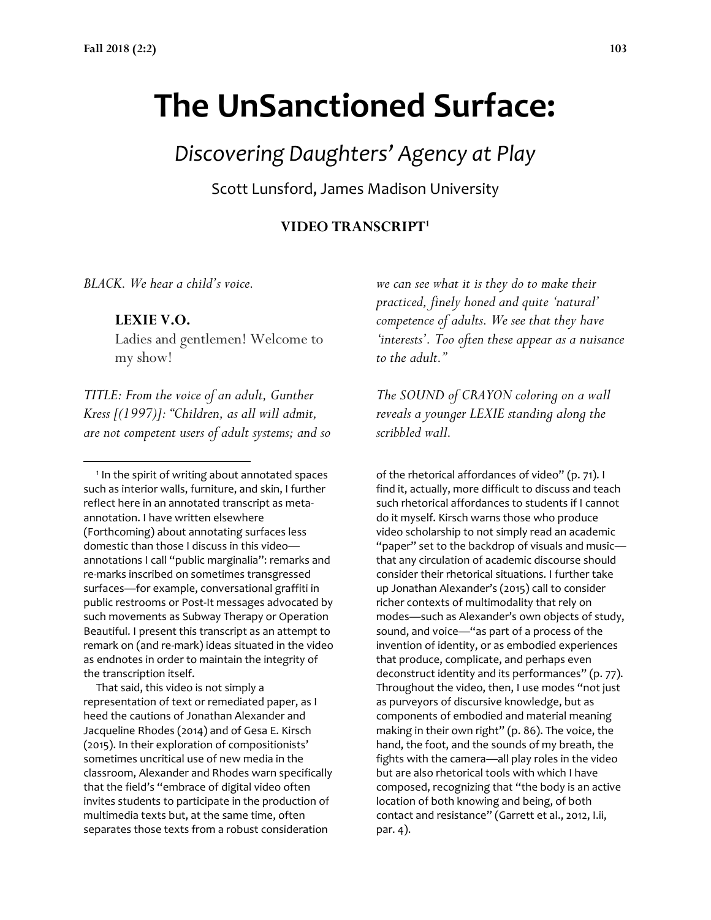# **The UnSanctioned Surface:**

## *Discovering Daughters' Agency at Play*

Scott Lunsford, James Madison University

#### **VIDEO TRANSCRIPT<sup>1</sup>**

*BLACK. We hear a child's voice.* 

#### **LEXIE V.O.**

 $\overline{a}$ 

Ladies and gentlemen! Welcome to my show!

*TITLE: From the voice of an adult, Gunther Kress [(1997)]: "Children, as all will admit, are not competent users of adult systems; and so* 

<sup>1</sup> In the spirit of writing about annotated spaces such as interior walls, furniture, and skin, I further reflect here in an annotated transcript as metaannotation. I have written elsewhere (Forthcoming) about annotating surfaces less domestic than those I discuss in this video annotations I call "public marginalia": remarks and re-marks inscribed on sometimes transgressed surfaces—for example, conversational graffiti in public restrooms or Post-It messages advocated by such movements as Subway Therapy or Operation Beautiful. I present this transcript as an attempt to remark on (and re-mark) ideas situated in the video as endnotes in order to maintain the integrity of the transcription itself.

 That said, this video is not simply a representation of text or remediated paper, as I heed the cautions of Jonathan Alexander and Jacqueline Rhodes (2014) and of Gesa E. Kirsch (2015). In their exploration of compositionists' sometimes uncritical use of new media in the classroom, Alexander and Rhodes warn specifically that the field's "embrace of digital video often invites students to participate in the production of multimedia texts but, at the same time, often separates those texts from a robust consideration

*we can see what it is they do to make their practiced, finely honed and quite 'natural' competence of adults. We see that they have 'interests'. Too often these appear as a nuisance to the adult."*

*The SOUND of CRAYON coloring on a wall reveals a younger LEXIE standing along the scribbled wall.*

of the rhetorical affordances of video" (p. 71). I find it, actually, more difficult to discuss and teach such rhetorical affordances to students if I cannot do it myself. Kirsch warns those who produce video scholarship to not simply read an academic "paper" set to the backdrop of visuals and music that any circulation of academic discourse should consider their rhetorical situations. I further take up Jonathan Alexander's (2015) call to consider richer contexts of multimodality that rely on modes—such as Alexander's own objects of study, sound, and voice—"as part of a process of the invention of identity, or as embodied experiences that produce, complicate, and perhaps even deconstruct identity and its performances" (p. 77). Throughout the video, then, I use modes "not just as purveyors of discursive knowledge, but as components of embodied and material meaning making in their own right" (p. 86). The voice, the hand, the foot, and the sounds of my breath, the fights with the camera—all play roles in the video but are also rhetorical tools with which I have composed, recognizing that "the body is an active location of both knowing and being, of both contact and resistance" (Garrett et al., 2012, I.ii, par. 4).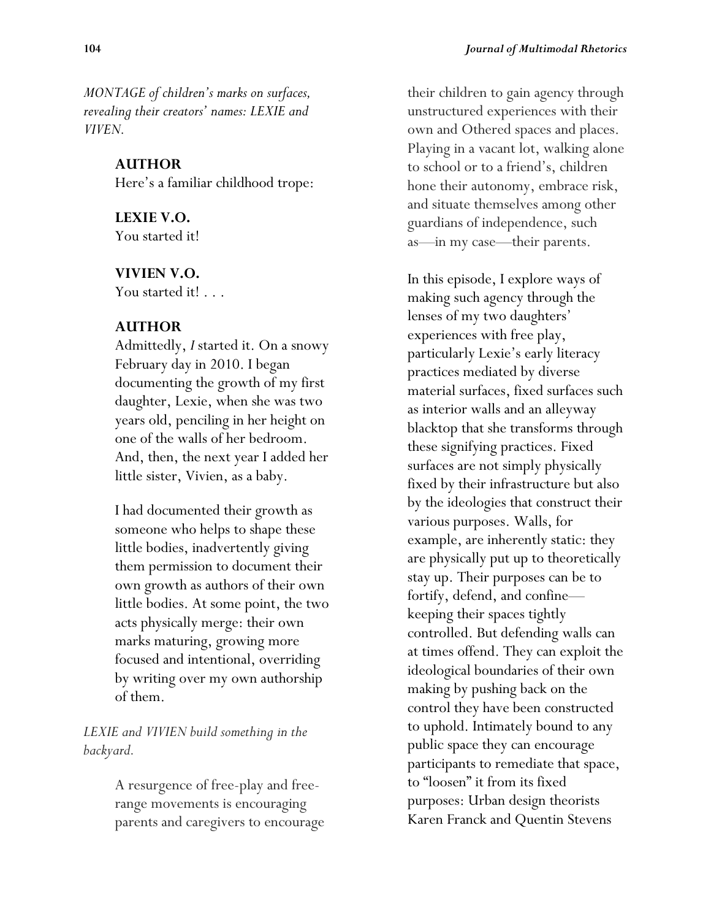*MONTAGE of children's marks on surfaces, revealing their creators' names: LEXIE and VIVEN.*

#### **AUTHOR**

Here's a familiar childhood trope:

**LEXIE V.O.** You started it!

#### **VIVIEN V.O.**

You started it! . . .

## **AUTHOR**

Admittedly, *I* started it. On a snowy February day in 2010. I began documenting the growth of my first daughter, Lexie, when she was two years old, penciling in her height on one of the walls of her bedroom. And, then, the next year I added her little sister, Vivien, as a baby.

I had documented their growth as someone who helps to shape these little bodies, inadvertently giving them permission to document their own growth as authors of their own little bodies. At some point, the two acts physically merge: their own marks maturing, growing more focused and intentional, overriding by writing over my own authorship of them.

## *LEXIE and VIVIEN build something in the backyard.*

A resurgence of free-play and freerange movements is encouraging parents and caregivers to encourage their children to gain agency through unstructured experiences with their own and Othered spaces and places. Playing in a vacant lot, walking alone to school or to a friend's, children hone their autonomy, embrace risk, and situate themselves among other guardians of independence, such as—in my case—their parents.

In this episode, I explore ways of making such agency through the lenses of my two daughters' experiences with free play, particularly Lexie's early literacy practices mediated by diverse material surfaces, fixed surfaces such as interior walls and an alleyway blacktop that she transforms through these signifying practices. Fixed surfaces are not simply physically fixed by their infrastructure but also by the ideologies that construct their various purposes. Walls, for example, are inherently static: they are physically put up to theoretically stay up. Their purposes can be to fortify, defend, and confine keeping their spaces tightly controlled. But defending walls can at times offend. They can exploit the ideological boundaries of their own making by pushing back on the control they have been constructed to uphold. Intimately bound to any public space they can encourage participants to remediate that space, to "loosen" it from its fixed purposes: Urban design theorists Karen Franck and Quentin Stevens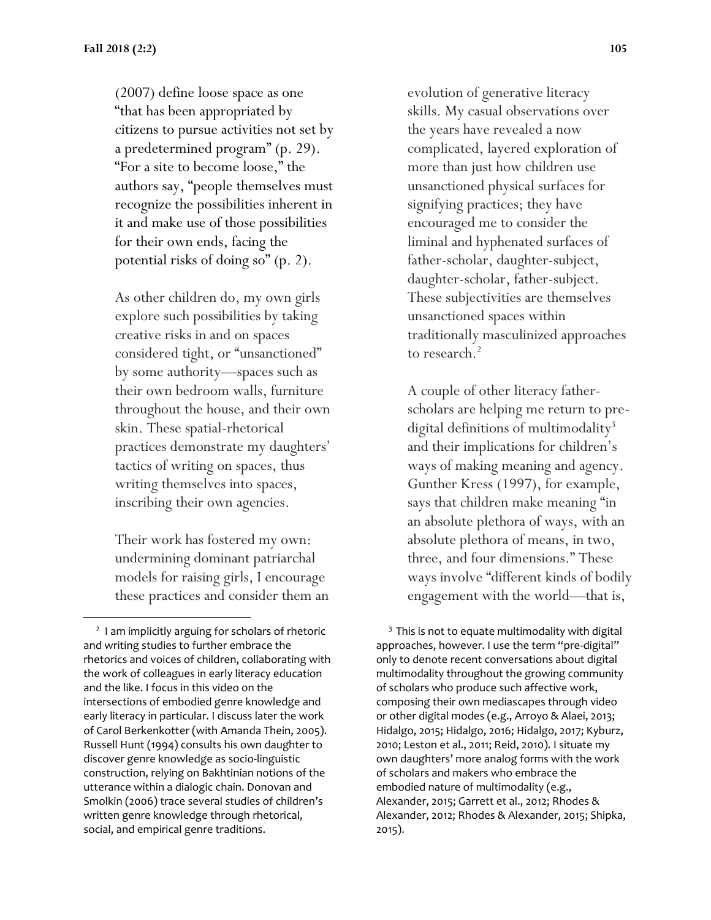(2007) define loose space as one "that has been appropriated by citizens to pursue activities not set by a predetermined program" (p. 29). "For a site to become loose," the authors say, "people themselves must recognize the possibilities inherent in it and make use of those possibilities for their own ends, facing the potential risks of doing so" (p. 2).

As other children do, my own girls explore such possibilities by taking creative risks in and on spaces considered tight, or "unsanctioned" by some authority—spaces such as their own bedroom walls, furniture throughout the house, and their own skin. These spatial-rhetorical practices demonstrate my daughters' tactics of writing on spaces, thus writing themselves into spaces, inscribing their own agencies.

Their work has fostered my own: undermining dominant patriarchal models for raising girls, I encourage these practices and consider them an

 $\overline{a}$ 

evolution of generative literacy skills. My casual observations over the years have revealed a now complicated, layered exploration of more than just how children use unsanctioned physical surfaces for signifying practices; they have encouraged me to consider the liminal and hyphenated surfaces of father-scholar, daughter-subject, daughter-scholar, father-subject. These subjectivities are themselves unsanctioned spaces within traditionally masculinized approaches to research.<sup>2</sup>

A couple of other literacy fatherscholars are helping me return to predigital definitions of multimodality<sup>3</sup> and their implications for children's ways of making meaning and agency. Gunther Kress (1997), for example, says that children make meaning "in an absolute plethora of ways, with an absolute plethora of means, in two, three, and four dimensions." These ways involve "different kinds of bodily engagement with the world—that is,

 $3$  This is not to equate multimodality with digital approaches, however. I use the term "pre-digital" only to denote recent conversations about digital multimodality throughout the growing community of scholars who produce such affective work, composing their own mediascapes through video or other digital modes (e.g., Arroyo & Alaei, 2013; Hidalgo, 2015; Hidalgo, 2016; Hidalgo, 2017; Kyburz, 2010; Leston et al., 2011; Reid, 2010). I situate my own daughters' more analog forms with the work of scholars and makers who embrace the embodied nature of multimodality (e.g., Alexander, 2015; Garrett et al., 2012; Rhodes & Alexander, 2012; Rhodes & Alexander, 2015; Shipka, 2015).

<sup>&</sup>lt;sup>2</sup> I am implicitly arguing for scholars of rhetoric and writing studies to further embrace the rhetorics and voices of children, collaborating with the work of colleagues in early literacy education and the like. I focus in this video on the intersections of embodied genre knowledge and early literacy in particular. I discuss later the work of Carol Berkenkotter (with Amanda Thein, 2005). Russell Hunt (1994) consults his own daughter to discover genre knowledge as socio-linguistic construction, relying on Bakhtinian notions of the utterance within a dialogic chain. Donovan and Smolkin (2006) trace several studies of children's written genre knowledge through rhetorical, social, and empirical genre traditions.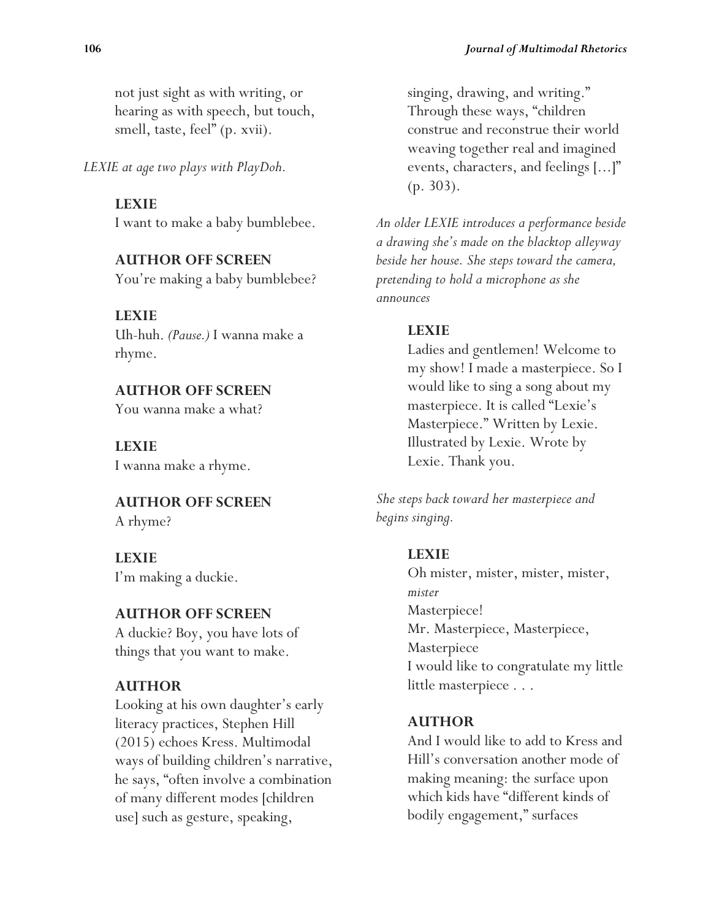not just sight as with writing, or hearing as with speech, but touch, smell, taste, feel" (p. xvii).

*LEXIE at age two plays with PlayDoh.*

#### **LEXIE**

I want to make a baby bumblebee.

## **AUTHOR OFF SCREEN**

You're making a baby bumblebee?

**LEXIE** Uh-huh. *(Pause.)* I wanna make a rhyme.

**AUTHOR OFF SCREEN** You wanna make a what?

**LEXIE** I wanna make a rhyme.

**AUTHOR OFF SCREEN** A rhyme?

**LEXIE** I'm making a duckie.

## **AUTHOR OFF SCREEN**

A duckie? Boy, you have lots of things that you want to make.

## **AUTHOR**

Looking at his own daughter's early literacy practices, Stephen Hill (2015) echoes Kress. Multimodal ways of building children's narrative, he says, "often involve a combination of many different modes [children use] such as gesture, speaking,

singing, drawing, and writing." Through these ways, "children construe and reconstrue their world weaving together real and imagined events, characters, and feelings [...]" (p. 303).

*An older LEXIE introduces a performance beside a drawing she's made on the blacktop alleyway beside her house. She steps toward the camera, pretending to hold a microphone as she announces*

## **LEXIE**

Ladies and gentlemen! Welcome to my show! I made a masterpiece. So I would like to sing a song about my masterpiece. It is called "Lexie's Masterpiece." Written by Lexie. Illustrated by Lexie. Wrote by Lexie. Thank you.

*She steps back toward her masterpiece and begins singing.*

## **LEXIE**

Oh mister, mister, mister, mister, *mister* Masterpiece! Mr. Masterpiece, Masterpiece, **Masterpiece** I would like to congratulate my little little masterpiece . . .

## **AUTHOR**

And I would like to add to Kress and Hill's conversation another mode of making meaning: the surface upon which kids have "different kinds of bodily engagement," surfaces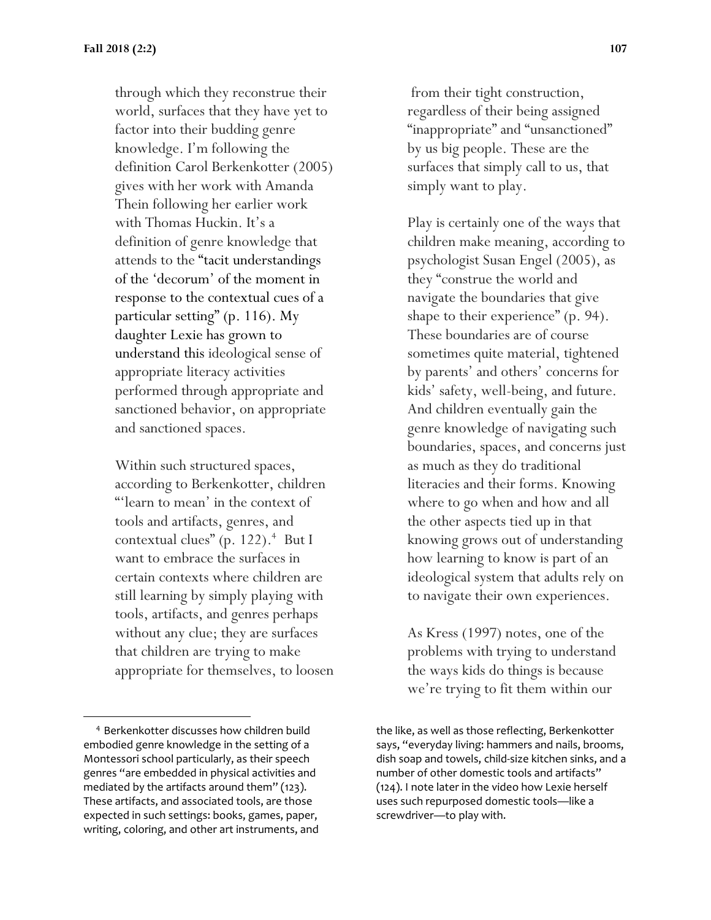through which they reconstrue their world, surfaces that they have yet to factor into their budding genre knowledge. I'm following the definition Carol Berkenkotter (2005) gives with her work with Amanda Thein following her earlier work with Thomas Huckin. It's a definition of genre knowledge that attends to the "tacit understandings of the 'decorum' of the moment in response to the contextual cues of a particular setting" (p. 116). My daughter Lexie has grown to understand this ideological sense of appropriate literacy activities performed through appropriate and sanctioned behavior, on appropriate and sanctioned spaces.

Within such structured spaces, according to Berkenkotter, children "'learn to mean' in the context of tools and artifacts, genres, and contextual clues" (p. 122).<sup>4</sup> But I want to embrace the surfaces in certain contexts where children are still learning by simply playing with tools, artifacts, and genres perhaps without any clue; they are surfaces that children are trying to make appropriate for themselves, to loosen

 $\overline{a}$ 

from their tight construction, regardless of their being assigned "inappropriate" and "unsanctioned" by us big people. These are the surfaces that simply call to us, that simply want to play.

Play is certainly one of the ways that children make meaning, according to psychologist Susan Engel (2005), as they "construe the world and navigate the boundaries that give shape to their experience" (p. 94). These boundaries are of course sometimes quite material, tightened by parents' and others' concerns for kids' safety, well-being, and future. And children eventually gain the genre knowledge of navigating such boundaries, spaces, and concerns just as much as they do traditional literacies and their forms. Knowing where to go when and how and all the other aspects tied up in that knowing grows out of understanding how learning to know is part of an ideological system that adults rely on to navigate their own experiences.

As Kress (1997) notes, one of the problems with trying to understand the ways kids do things is because we're trying to fit them within our

<sup>&</sup>lt;sup>4</sup> Berkenkotter discusses how children build embodied genre knowledge in the setting of a Montessori school particularly, as their speech genres "are embedded in physical activities and mediated by the artifacts around them" (123). These artifacts, and associated tools, are those expected in such settings: books, games, paper, writing, coloring, and other art instruments, and

the like, as well as those reflecting, Berkenkotter says, "everyday living: hammers and nails, brooms, dish soap and towels, child-size kitchen sinks, and a number of other domestic tools and artifacts" (124). I note later in the video how Lexie herself uses such repurposed domestic tools—like a screwdriver—to play with.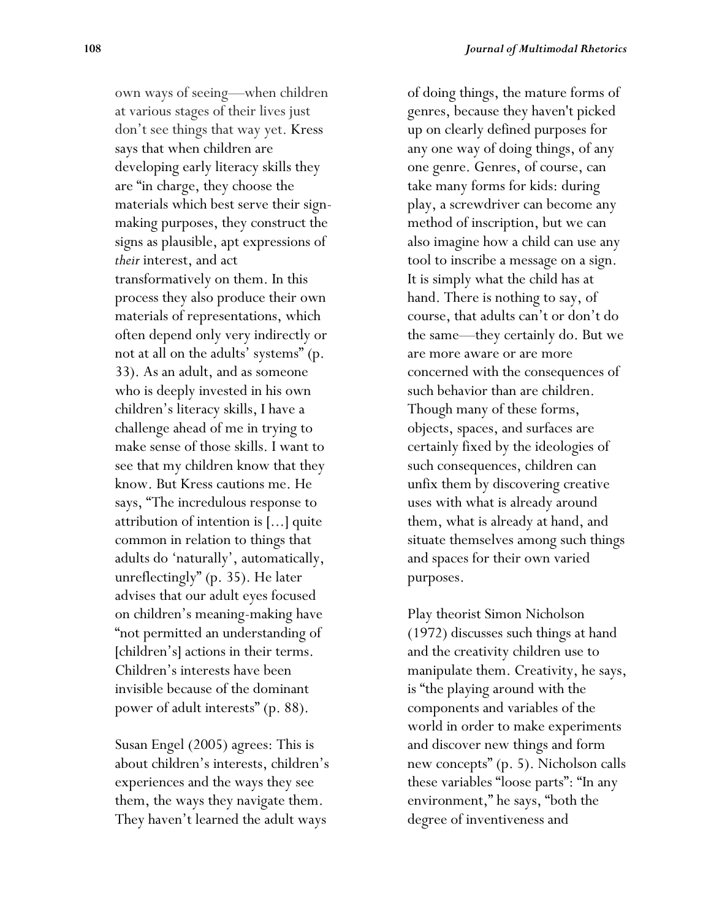own ways of seeing—when children at various stages of their lives just don't see things that way yet. Kress says that when children are developing early literacy skills they are "in charge, they choose the materials which best serve their signmaking purposes, they construct the signs as plausible, apt expressions of *their* interest, and act transformatively on them. In this process they also produce their own materials of representations, which often depend only very indirectly or not at all on the adults' systems" (p. 33). As an adult, and as someone who is deeply invested in his own children's literacy skills, I have a challenge ahead of me in trying to make sense of those skills. I want to see that my children know that they know. But Kress cautions me. He says, "The incredulous response to attribution of intention is [...] quite common in relation to things that adults do 'naturally', automatically, unreflectingly" (p. 35). He later advises that our adult eyes focused on children's meaning-making have "not permitted an understanding of [children's] actions in their terms. Children's interests have been invisible because of the dominant power of adult interests" (p. 88).

Susan Engel (2005) agrees: This is about children's interests, children's experiences and the ways they see them, the ways they navigate them. They haven't learned the adult ways

of doing things, the mature forms of genres, because they haven't picked up on clearly defined purposes for any one way of doing things, of any one genre. Genres, of course, can take many forms for kids: during play, a screwdriver can become any method of inscription, but we can also imagine how a child can use any tool to inscribe a message on a sign. It is simply what the child has at hand. There is nothing to say, of course, that adults can't or don't do the same—they certainly do. But we are more aware or are more concerned with the consequences of such behavior than are children. Though many of these forms, objects, spaces, and surfaces are certainly fixed by the ideologies of such consequences, children can unfix them by discovering creative uses with what is already around them, what is already at hand, and situate themselves among such things and spaces for their own varied purposes.

Play theorist Simon Nicholson (1972) discusses such things at hand and the creativity children use to manipulate them. Creativity, he says, is "the playing around with the components and variables of the world in order to make experiments and discover new things and form new concepts" (p. 5). Nicholson calls these variables "loose parts": "In any environment," he says, "both the degree of inventiveness and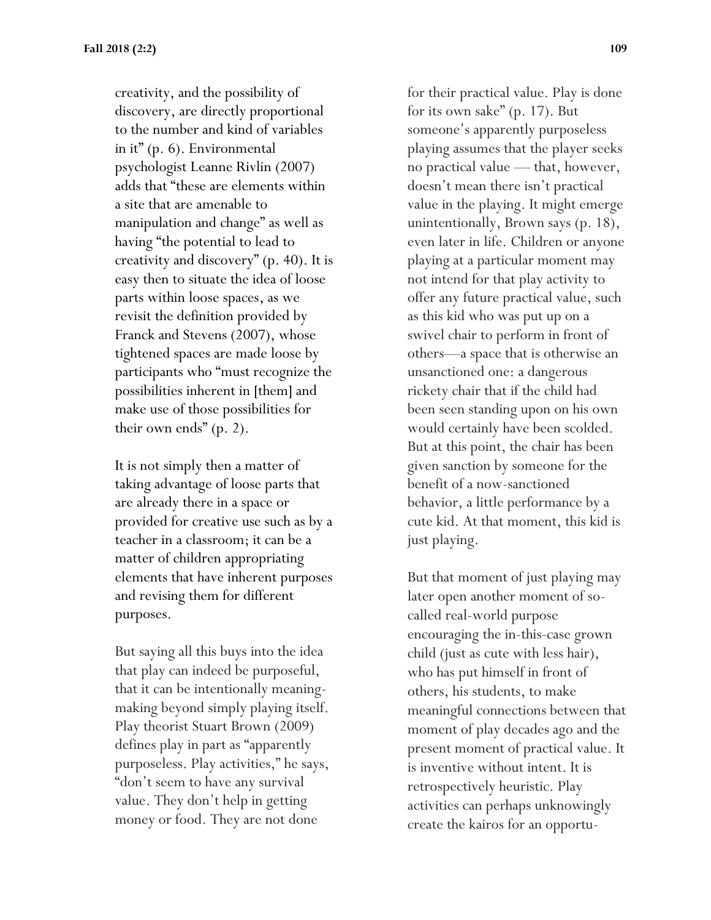creativity, and the possibility of discovery, are directly proportional to the number and kind of variables in it" (p. 6). Environmental psychologist Leanne Rivlin (2007) adds that "these are elements within a site that are amenable to manipulation and change" as well as having "the potential to lead to creativity and discovery" (p. 40). It is easy then to situate the idea of loose parts within loose spaces, as we revisit the definition provided by Franck and Stevens (2007), whose tightened spaces are made loose by participants who "must recognize the possibilities inherent in [them] and make use of those possibilities for their own ends" (p. 2).

It is not simply then a matter of taking advantage of loose parts that are already there in a space or provided for creative use such as by a teacher in a classroom; it can be a matter of children appropriating elements that have inherent purposes and revising them for different purposes.

But saying all this buys into the idea that play can indeed be purposeful, that it can be intentionally meaningmaking beyond simply playing itself. Play theorist Stuart Brown (2009) defines play in part as "apparently purposeless. Play activities," he says, "don't seem to have any survival value. They don't help in getting money or food. They are not done

for their practical value. Play is done for its own sake" (p. 17). But someone's apparently purposeless playing assumes that the player seeks no practical value — that, however, doesn't mean there isn't practical value in the playing. It might emerge unintentionally, Brown says (p. 18), even later in life. Children or anyone playing at a particular moment may not intend for that play activity to offer any future practical value, such as this kid who was put up on a swivel chair to perform in front of others—a space that is otherwise an unsanctioned one: a dangerous rickety chair that if the child had been seen standing upon on his own would certainly have been scolded. But at this point, the chair has been given sanction by someone for the benefit of a now-sanctioned behavior, a little performance by a cute kid. At that moment, this kid is just playing.

But that moment of just playing may later open another moment of socalled real-world purpose encouraging the in-this-case grown child (just as cute with less hair), who has put himself in front of others, his students, to make meaningful connections between that moment of play decades ago and the present moment of practical value. It is inventive without intent. It is retrospectively heuristic. Play activities can perhaps unknowingly create the kairos for an opportu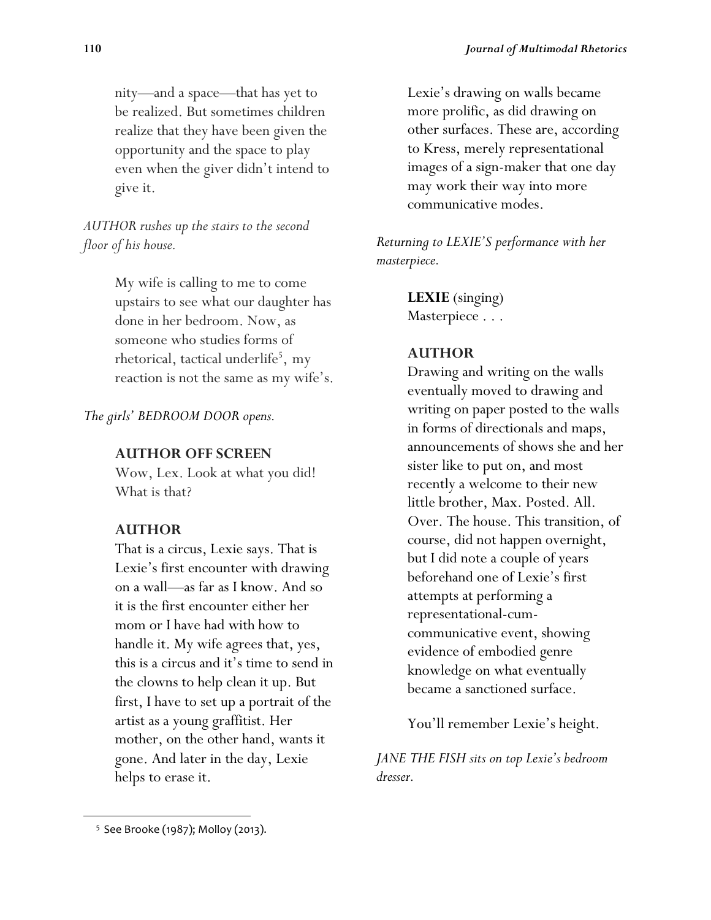nity—and a space—that has yet to be realized. But sometimes children realize that they have been given the opportunity and the space to play even when the giver didn't intend to give it.

*AUTHOR rushes up the stairs to the second floor of his house.*

> My wife is calling to me to come upstairs to see what our daughter has done in her bedroom. Now, as someone who studies forms of rhetorical, tactical underlife<sup>5</sup>, my reaction is not the same as my wife's.

*The girls' BEDROOM DOOR opens.*

#### **AUTHOR OFF SCREEN**

Wow, Lex. Look at what you did! What is that?

#### **AUTHOR**

That is a circus, Lexie says. That is Lexie's first encounter with drawing on a wall—as far as I know. And so it is the first encounter either her mom or I have had with how to handle it. My wife agrees that, yes, this is a circus and it's time to send in the clowns to help clean it up. But first, I have to set up a portrait of the artist as a young graffitist. Her mother, on the other hand, wants it gone. And later in the day, Lexie helps to erase it.

Lexie's drawing on walls became more prolific, as did drawing on other surfaces. These are, according to Kress, merely representational images of a sign-maker that one day may work their way into more communicative modes.

*Returning to LEXIE'S performance with her masterpiece.*

> **LEXIE** (singing) Masterpiece . . .

#### **AUTHOR**

Drawing and writing on the walls eventually moved to drawing and writing on paper posted to the walls in forms of directionals and maps, announcements of shows she and her sister like to put on, and most recently a welcome to their new little brother, Max. Posted. All. Over. The house. This transition, of course, did not happen overnight, but I did note a couple of years beforehand one of Lexie's first attempts at performing a representational-cumcommunicative event, showing evidence of embodied genre knowledge on what eventually became a sanctioned surface.

You'll remember Lexie's height.

*JANE THE FISH sits on top Lexie's bedroom dresser.*

 $\overline{\phantom{a}}$ 

 $55$  See Brooke (1987); Molloy (2013).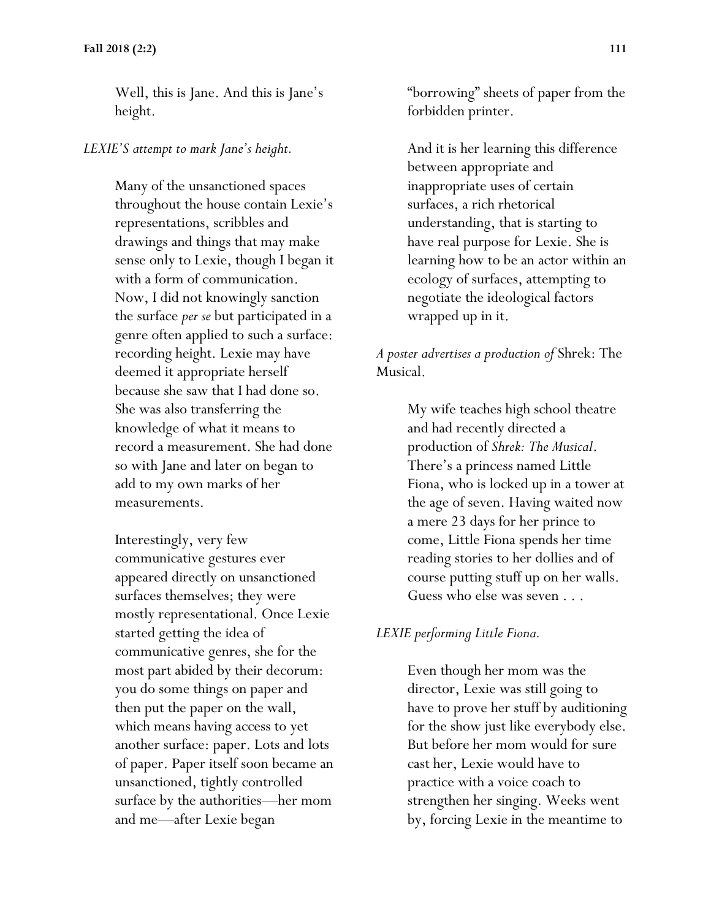Well, this is Jane. And this is Jane's height.

#### *LEXIE'S attempt to mark Jane's height.*

Many of the unsanctioned spaces throughout the house contain Lexie's representations, scribbles and drawings and things that may make sense only to Lexie, though I began it with a form of communication. Now, I did not knowingly sanction the surface *per se* but participated in a genre often applied to such a surface: recording height. Lexie may have deemed it appropriate herself because she saw that I had done so. She was also transferring the knowledge of what it means to record a measurement. She had done so with Jane and later on began to add to my own marks of her measurements.

Interestingly, very few communicative gestures ever appeared directly on unsanctioned surfaces themselves; they were mostly representational. Once Lexie started getting the idea of communicative genres, she for the most part abided by their decorum: you do some things on paper and then put the paper on the wall, which means having access to yet another surface: paper. Lots and lots of paper. Paper itself soon became an unsanctioned, tightly controlled surface by the authorities—her mom and me—after Lexie began

"borrowing" sheets of paper from the forbidden printer.

And it is her learning this difference between appropriate and inappropriate uses of certain surfaces, a rich rhetorical understanding, that is starting to have real purpose for Lexie. She is learning how to be an actor within an ecology of surfaces, attempting to negotiate the ideological factors wrapped up in it.

#### *A poster advertises a production of* Shrek: The Musical.

My wife teaches high school theatre and had recently directed a production of *Shrek: The Musical*. There's a princess named Little Fiona, who is locked up in a tower at the age of seven. Having waited now a mere 23 days for her prince to come, Little Fiona spends her time reading stories to her dollies and of course putting stuff up on her walls. Guess who else was seven . . .

#### *LEXIE performing Little Fiona.*

Even though her mom was the director, Lexie was still going to have to prove her stuff by auditioning for the show just like everybody else. But before her mom would for sure cast her, Lexie would have to practice with a voice coach to strengthen her singing. Weeks went by, forcing Lexie in the meantime to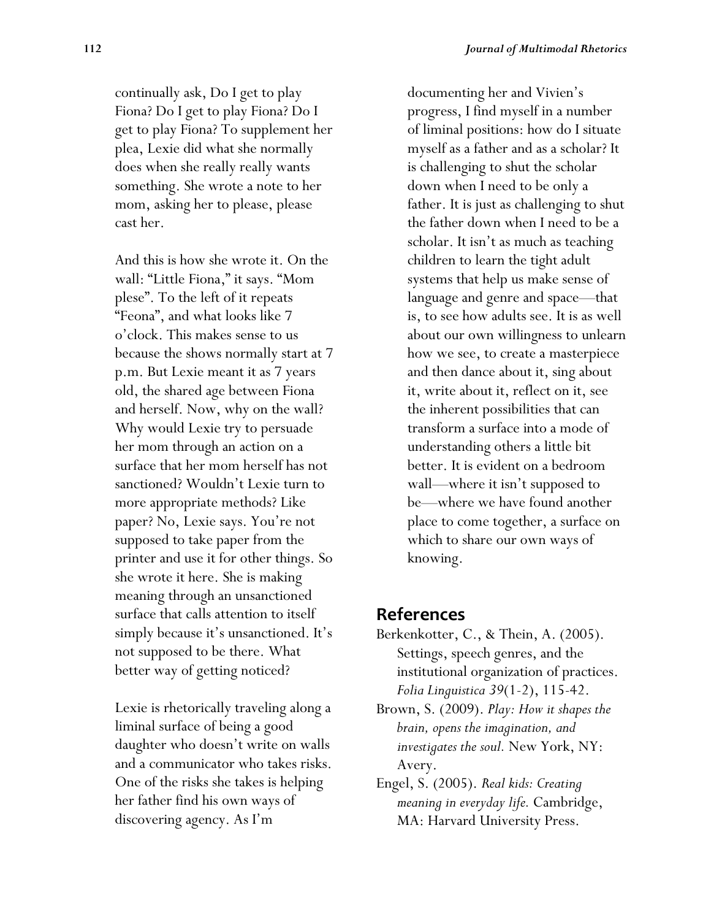continually ask, Do I get to play Fiona? Do I get to play Fiona? Do I get to play Fiona? To supplement her plea, Lexie did what she normally does when she really really wants something. She wrote a note to her mom, asking her to please, please cast her.

And this is how she wrote it. On the wall: "Little Fiona," it says. "Mom plese". To the left of it repeats "Feona", and what looks like 7 o'clock. This makes sense to us because the shows normally start at 7 p.m. But Lexie meant it as 7 years old, the shared age between Fiona and herself. Now, why on the wall? Why would Lexie try to persuade her mom through an action on a surface that her mom herself has not sanctioned? Wouldn't Lexie turn to more appropriate methods? Like paper? No, Lexie says. You're not supposed to take paper from the printer and use it for other things. So she wrote it here. She is making meaning through an unsanctioned surface that calls attention to itself simply because it's unsanctioned. It's not supposed to be there. What better way of getting noticed?

Lexie is rhetorically traveling along a liminal surface of being a good daughter who doesn't write on walls and a communicator who takes risks. One of the risks she takes is helping her father find his own ways of discovering agency. As I'm

documenting her and Vivien's progress, I find myself in a number of liminal positions: how do I situate myself as a father and as a scholar? It is challenging to shut the scholar down when I need to be only a father. It is just as challenging to shut the father down when I need to be a scholar. It isn't as much as teaching children to learn the tight adult systems that help us make sense of language and genre and space—that is, to see how adults see. It is as well about our own willingness to unlearn how we see, to create a masterpiece and then dance about it, sing about it, write about it, reflect on it, see the inherent possibilities that can transform a surface into a mode of understanding others a little bit better. It is evident on a bedroom wall—where it isn't supposed to be—where we have found another place to come together, a surface on which to share our own ways of knowing.

#### **References**

- Berkenkotter, C., & Thein, A. (2005). Settings, speech genres, and the institutional organization of practices. *Folia Linguistica 39*(1-2), 115-42.
- Brown, S. (2009). *Play: How it shapes the brain, opens the imagination, and investigates the soul.* New York, NY: Avery.
- Engel, S. (2005). *Real kids: Creating meaning in everyday life.* Cambridge, MA: Harvard University Press.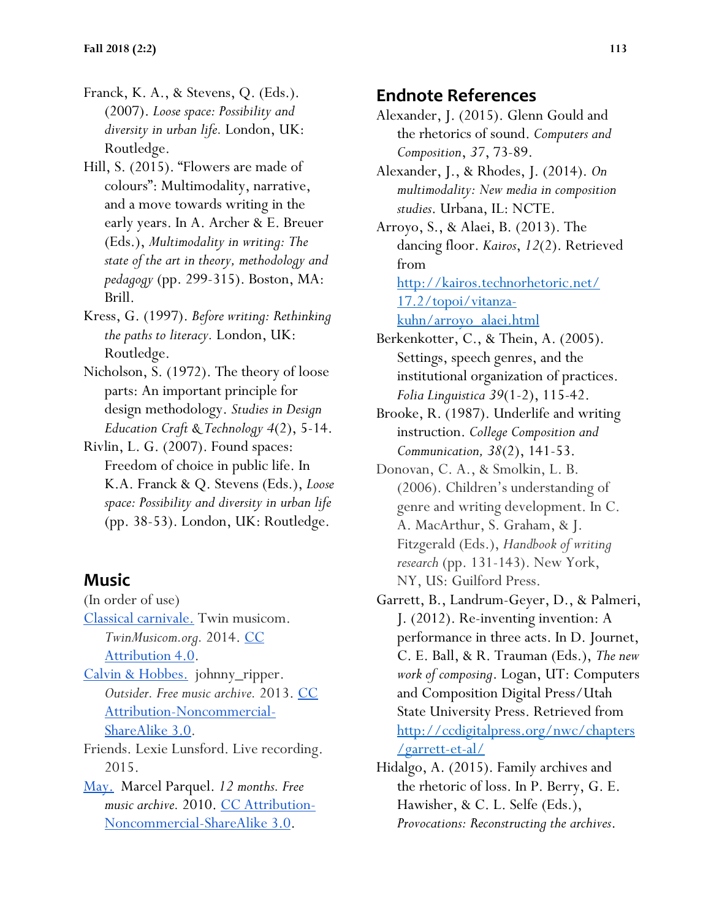- Franck, K. A., & Stevens, Q. (Eds.). (2007). *Loose space: Possibility and diversity in urban life.* London, UK: Routledge.
- Hill, S. (2015). "Flowers are made of colours": Multimodality, narrative, and a move towards writing in the early years. In A. Archer & E. Breuer (Eds.), *Multimodality in writing: The state of the art in theory, methodology and pedagogy* (pp. 299-315). Boston, MA: Brill.
- Kress, G. (1997). *Before writing: Rethinking the paths to literacy.* London, UK: Routledge.
- Nicholson, S. (1972). The theory of loose parts: An important principle for design methodology. *Studies in Design Education Craft & Technology 4*(2), 5-14.
- Rivlin, L. G. (2007). Found spaces: Freedom of choice in public life. In K.A. Franck & Q. Stevens (Eds.), *Loose space: Possibility and diversity in urban life* (pp. 38-53). London, UK: Routledge.

## **Music**

(In order of use) [Classical carnivale.](http://www.twinmusicom.org/) Twin musicom. *TwinMusicom.org.* 2014. CC [Attribution 4.0.](https://creativecommons.org/licenses/by/4.0/) [Calvin & Hobbes.](http://freemusicarchive.org/music/johnny_ripper/outsider/02_calvin__hobbes) johnny\_ripper. *Outsider. Free music archive.* 2013. [CC](https://creativecommons.org/licenses/by-nc-sa/3.0/us/)  [Attribution-Noncommercial-](https://creativecommons.org/licenses/by-nc-sa/3.0/us/)[ShareAlike 3.0.](https://creativecommons.org/licenses/by-nc-sa/3.0/us/)

Friends. Lexie Lunsford. Live recording. 2015.

[May.](http://freemusicarchive.org/music/Marcel_Pequel/12_Months/Marcel_Pequel__The_12_Months__05) Marcel Parquel. *12 months. Free music archive.* 2010. [CC Attribution-](https://creativecommons.org/licenses/by-nc-sa/3.0/us/)[Noncommercial-ShareAlike 3.0.](https://creativecommons.org/licenses/by-nc-sa/3.0/us/)

## **Endnote References**

- Alexander, J. (2015). Glenn Gould and the rhetorics of sound. *Computers and Composition*, *37*, 73-89.
- Alexander, J., & Rhodes, J. (2014). *On multimodality: New media in composition studies*. Urbana, IL: NCTE.

Arroyo, S., & Alaei, B. (2013). The dancing floor. *Kairos*, *12*(2). Retrieved from <http://kairos.technorhetoric.net/>

[17.2/topoi/vitanza-](http://kairos.technorhetoric.net/)

[kuhn/arroyo\\_alaei.html](http://kairos.technorhetoric.net/)

Berkenkotter, C., & Thein, A. (2005). Settings, speech genres, and the institutional organization of practices. *Folia Linguistica 39*(1-2), 115-42.

- Brooke, R. (1987). Underlife and writing instruction. *College Composition and Communication, 38*(2), 141-53.
- Donovan, C. A., & Smolkin, L. B. (2006). Children's understanding of genre and writing development. In C. A. MacArthur, S. Graham, & J. Fitzgerald (Eds.), *Handbook of writing research* (pp. 131-143). New York, NY, US: Guilford Press.
- Garrett, B., Landrum-Geyer, D., & Palmeri, J. (2012). Re-inventing invention: A performance in three acts. In D. Journet, C. E. Ball, & R. Trauman (Eds.), *The new work of composing*. Logan, UT: Computers and Composition Digital Press/Utah State University Press. Retrieved from [http://ccdigitalpress.org/nwc/chapters](http://ccdigitalpress.org/nwc/chapters/garrett-et-al/) [/garrett-et-al/](http://ccdigitalpress.org/nwc/chapters/garrett-et-al/)
- Hidalgo, A. (2015). Family archives and the rhetoric of loss. In P. Berry, G. E. Hawisher, & C. L. Selfe (Eds.), *Provocations: Reconstructing the archives*.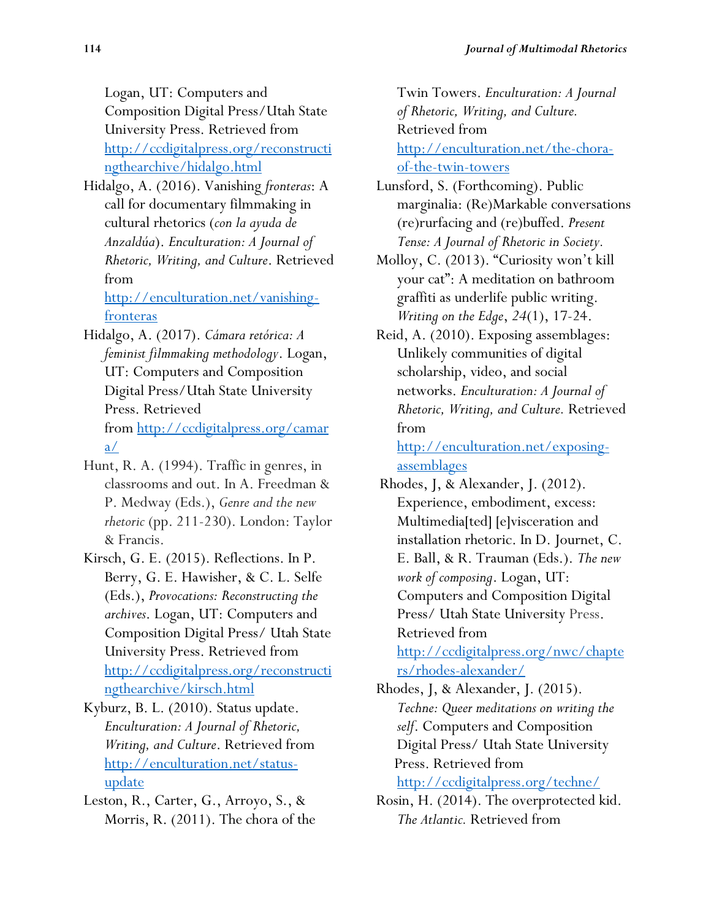Logan, UT: Computers and Composition Digital Press/Utah State University Press. Retrieved from [http://ccdigitalpress.org/reconstructi](http://ccdigitalpress.org/reconstructingthearchive/hidalgo.html) [ngthearchive/hidalgo.html](http://ccdigitalpress.org/reconstructingthearchive/hidalgo.html)

Hidalgo, A. (2016). Vanishing *fronteras*: A call for documentary filmmaking in cultural rhetorics (*con la ayuda de Anzaldúa*). *Enculturation: A Journal of Rhetoric, Writing, and Culture*. Retrieved from

[http://enculturation.net/vanishing](http://enculturation.net/vanishing-fronteras)[fronteras](http://enculturation.net/vanishing-fronteras)

- Hidalgo, A. (2017). *Cámara retórica: A feminist filmmaking methodology*. Logan, UT: Computers and Composition Digital Press/Utah State University Press. Retrieved from [http://ccdigitalpress.org/camar](http://ccdigitalpress.org/camara/)  $\underline{a}/\underline{b}$
- Hunt, R. A. (1994). Traffic in genres, in classrooms and out. In A. Freedman & P. Medway (Eds.), *Genre and the new rhetoric* (pp. 211-230). London: Taylor & Francis.
- Kirsch, G. E. (2015). Reflections. In P. Berry, G. E. Hawisher, & C. L. Selfe (Eds.), *Provocations: Reconstructing the archives*. Logan, UT: Computers and Composition Digital Press/ Utah State University Press. Retrieved from [http://ccdigitalpress.org/reconstructi](http://ccdigitalpress.org/reconstructingthearchive/kirsch.html) [ngthearchive/kirsch.html](http://ccdigitalpress.org/reconstructingthearchive/kirsch.html)
- Kyburz, B. L. (2010). Status update. *Enculturation: A Journal of Rhetoric, Writing, and Culture*. Retrieved from [http://enculturation.net/status](http://enculturation.net/status-update)[update](http://enculturation.net/status-update)
- Leston, R., Carter, G., Arroyo, S., & Morris, R. (2011). The chora of the

Twin Towers. *Enculturation: A Journal of Rhetoric, Writing, and Culture.*  Retrieved from

[http://enculturation.net/the-chora](http://enculturation.net/the-chora-of-the-twin-towers)[of-the-twin-towers](http://enculturation.net/the-chora-of-the-twin-towers)

- Lunsford, S. (Forthcoming). Public marginalia: (Re)Markable conversations (re)rurfacing and (re)buffed. *Present Tense: A Journal of Rhetoric in Society.*
- Molloy, C. (2013). "Curiosity won't kill your cat": A meditation on bathroom graffiti as underlife public writing. *Writing on the Edge*, *24*(1), 17-24.
- Reid, A. (2010). Exposing assemblages: Unlikely communities of digital scholarship, video, and social networks. *Enculturation: A Journal of Rhetoric, Writing, and Culture.* Retrieved from

[http://enculturation.net/exposing](http://enculturation.net/exposing-assemblages)[assemblages](http://enculturation.net/exposing-assemblages)

Rhodes, J, & Alexander, J. (2012). Experience, embodiment, excess: Multimedia[ted] [e]visceration and installation rhetoric. In D. Journet, C. E. Ball, & R. Trauman (Eds.). *The new work of composing*. Logan, UT: Computers and Composition Digital Press/ Utah State University Press. Retrieved from

[http://ccdigitalpress.org/nwc/chapte](http://ccdigitalpress.org/nwc/chapters/rhodes-alexander/) [rs/rhodes-alexander/](http://ccdigitalpress.org/nwc/chapters/rhodes-alexander/)

- Rhodes, J, & Alexander, J. (2015). *Techne: Queer meditations on writing the self*. Computers and Composition Digital Press/ Utah State University Press. Retrieved from <http://ccdigitalpress.org/techne/>
- Rosin, H. (2014). The overprotected kid. *The Atlantic.* Retrieved from